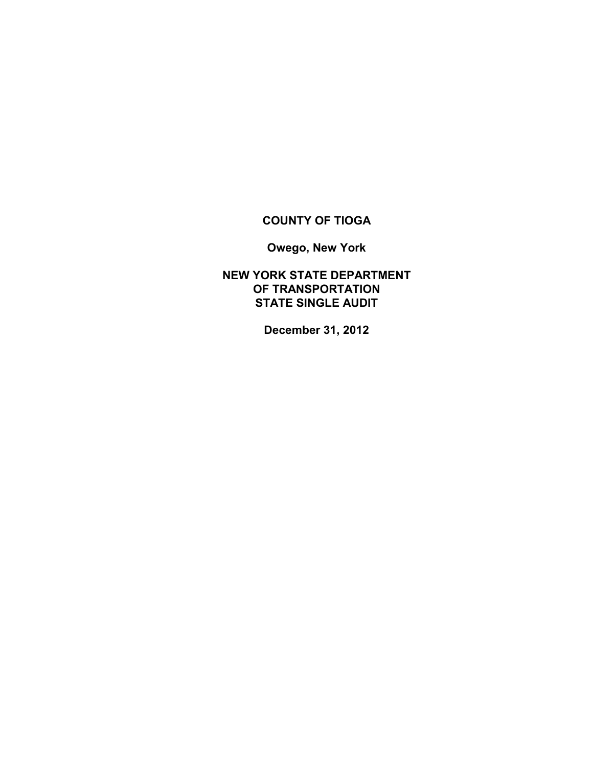# **COUNTY OF TIOGA**

**Owego, New York**

**NEW YORK STATE DEPARTMENT OF TRANSPORTATION STATE SINGLE AUDIT**

**December 31, 2012**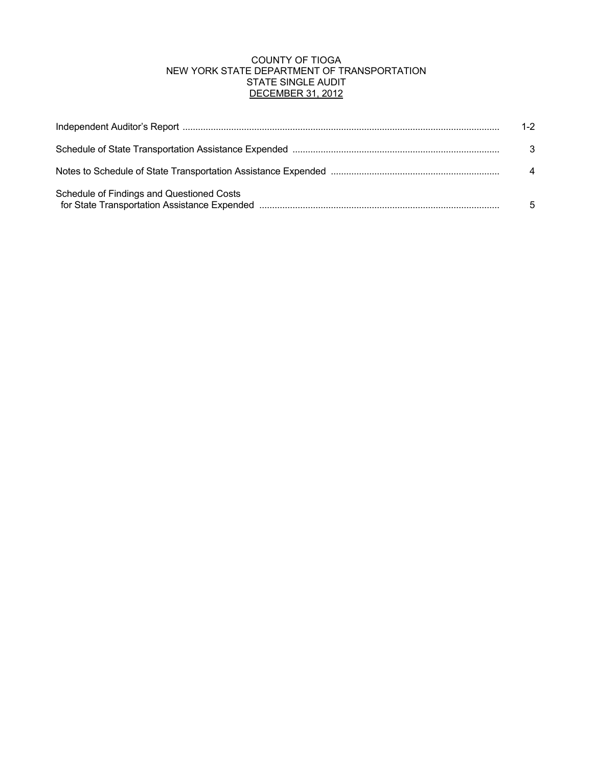# COUNTY OF TIOGA NEW YORK STATE DEPARTMENT OF TRANSPORTATION STATE SINGLE AUDIT DECEMBER 31, 2012

|                                           | $1 - 2$          |
|-------------------------------------------|------------------|
|                                           | -3               |
|                                           | $\boldsymbol{4}$ |
| Schedule of Findings and Questioned Costs | 5                |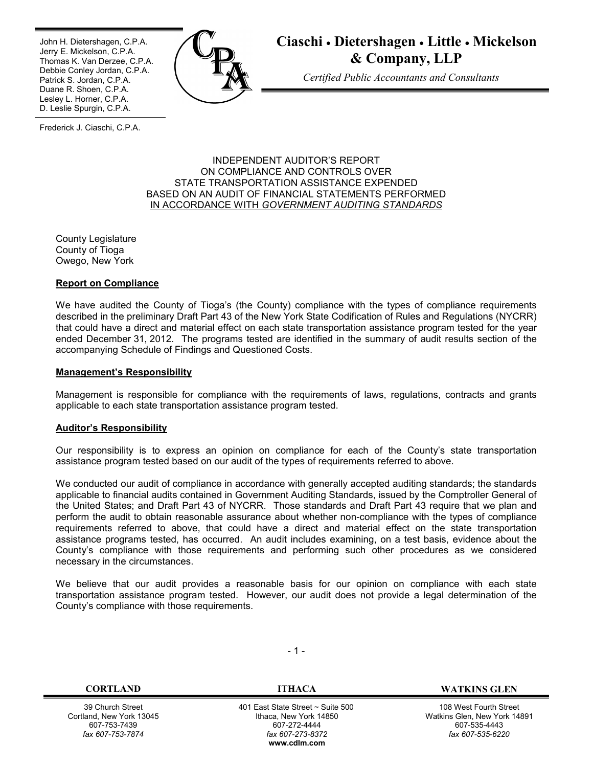Ī John H. Dietershagen, C.P.A. Jerry E. Mickelson, C.P.A. Thomas K. Van Derzee, C.P.A. Debbie Conley Jordan, C.P.A. Patrick S. Jordan, C.P.A. Duane R. Shoen, C.P.A. Lesley L. Horner, C.P.A. D. Leslie Spurgin, C.P.A.



# **Ciaschi Dietershagen Little Mickelson & Company, LLP**

*Certified Public Accountants and Consultants*

Frederick J. Ciaschi, C.P.A.

#### INDEPENDENT AUDITOR'S REPORT ON COMPLIANCE AND CONTROLS OVER STATE TRANSPORTATION ASSISTANCE EXPENDED BASED ON AN AUDIT OF FINANCIAL STATEMENTS PERFORMED IN ACCORDANCE WITH *GOVERNMENT AUDITING STANDARDS*

County Legislature County of Tioga Owego, New York

# **Report on Compliance**

We have audited the County of Tioga's (the County) compliance with the types of compliance requirements described in the preliminary Draft Part 43 of the New York State Codification of Rules and Regulations (NYCRR) that could have a direct and material effect on each state transportation assistance program tested for the year ended December 31, 2012. The programs tested are identified in the summary of audit results section of the accompanying Schedule of Findings and Questioned Costs.

# **Management's Responsibility**

Management is responsible for compliance with the requirements of laws, regulations, contracts and grants applicable to each state transportation assistance program tested.

#### **Auditor's Responsibility**

Our responsibility is to express an opinion on compliance for each of the County's state transportation assistance program tested based on our audit of the types of requirements referred to above.

We conducted our audit of compliance in accordance with generally accepted auditing standards; the standards applicable to financial audits contained in Government Auditing Standards, issued by the Comptroller General of the United States; and Draft Part 43 of NYCRR. Those standards and Draft Part 43 require that we plan and perform the audit to obtain reasonable assurance about whether non-compliance with the types of compliance requirements referred to above, that could have a direct and material effect on the state transportation assistance programs tested, has occurred. An audit includes examining, on a test basis, evidence about the County's compliance with those requirements and performing such other procedures as we considered necessary in the circumstances.

We believe that our audit provides a reasonable basis for our opinion on compliance with each state transportation assistance program tested. However, our audit does not provide a legal determination of the County's compliance with those requirements.

39 Church Street Cortland, New York 13045 607-753-7439 *fax 607-753-7874*

- 1 -

 401 East State Street ~ Suite 500 Ithaca, New York 14850 607-272-4444 *fax 607-273-8372* **w[ww.cdlm.com](www.cdlm.com)**

**CORTLAND ITHACA WATKINS GLEN**

108 West Fourth Street Watkins Glen, New York 14891 607-535-4443 *fax 607-535-6220*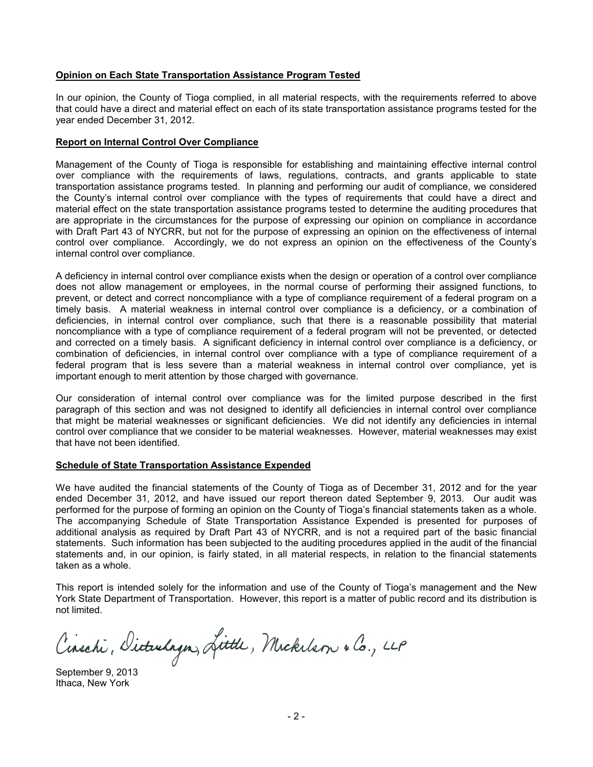#### **Opinion on Each State Transportation Assistance Program Tested**

In our opinion, the County of Tioga complied, in all material respects, with the requirements referred to above that could have a direct and material effect on each of its state transportation assistance programs tested for the year ended December 31, 2012.

# **Report on Internal Control Over Compliance**

Management of the County of Tioga is responsible for establishing and maintaining effective internal control over compliance with the requirements of laws, regulations, contracts, and grants applicable to state transportation assistance programs tested. In planning and performing our audit of compliance, we considered the County's internal control over compliance with the types of requirements that could have a direct and material effect on the state transportation assistance programs tested to determine the auditing procedures that are appropriate in the circumstances for the purpose of expressing our opinion on compliance in accordance with Draft Part 43 of NYCRR, but not for the purpose of expressing an opinion on the effectiveness of internal control over compliance. Accordingly, we do not express an opinion on the effectiveness of the County's internal control over compliance.

A deficiency in internal control over compliance exists when the design or operation of a control over compliance does not allow management or employees, in the normal course of performing their assigned functions, to prevent, or detect and correct noncompliance with a type of compliance requirement of a federal program on a timely basis. A material weakness in internal control over compliance is a deficiency, or a combination of deficiencies, in internal control over compliance, such that there is a reasonable possibility that material noncompliance with a type of compliance requirement of a federal program will not be prevented, or detected and corrected on a timely basis. A significant deficiency in internal control over compliance is a deficiency, or combination of deficiencies, in internal control over compliance with a type of compliance requirement of a federal program that is less severe than a material weakness in internal control over compliance, yet is important enough to merit attention by those charged with governance.

Our consideration of internal control over compliance was for the limited purpose described in the first paragraph of this section and was not designed to identify all deficiencies in internal control over compliance that might be material weaknesses or significant deficiencies. We did not identify any deficiencies in internal control over compliance that we consider to be material weaknesses. However, material weaknesses may exist that have not been identified.

#### **Schedule of State Transportation Assistance Expended**

We have audited the financial statements of the County of Tioga as of December 31, 2012 and for the year ended December 31, 2012, and have issued our report thereon dated September 9, 2013. Our audit was performed for the purpose of forming an opinion on the County of Tioga's financial statements taken as a whole. The accompanying Schedule of State Transportation Assistance Expended is presented for purposes of additional analysis as required by Draft Part 43 of NYCRR, and is not a required part of the basic financial statements. Such information has been subjected to the auditing procedures applied in the audit of the financial statements and, in our opinion, is fairly stated, in all material respects, in relation to the financial statements taken as a whole.

This report is intended solely for the information and use of the County of Tioga's management and the New York State Department of Transportation. However, this report is a matter of public record and its distribution is not limited.

Cinschi, Dicturlagn, Little, Mickelson & Co., LLP

September 9, 2013 Ithaca, New York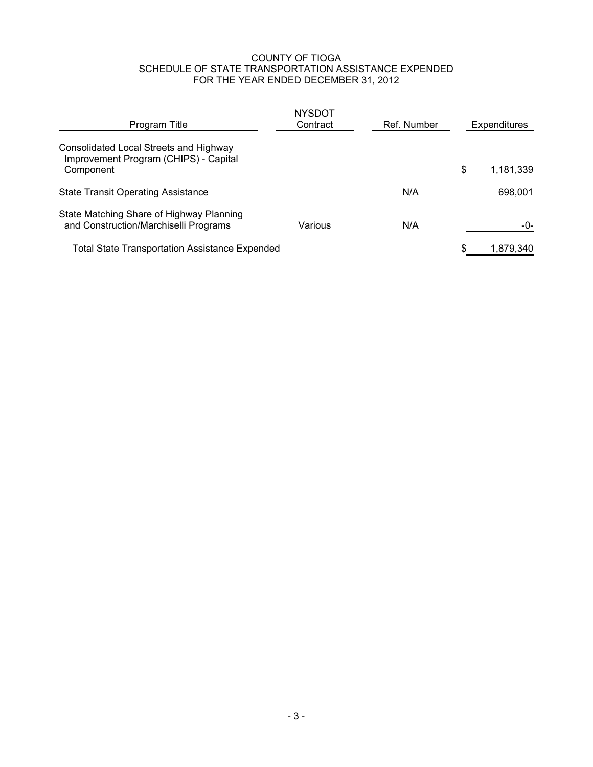# COUNTY OF TIOGA SCHEDULE OF STATE TRANSPORTATION ASSISTANCE EXPENDED FOR THE YEAR ENDED DECEMBER 31, 2012

| Program Title                                                                                | <b>NYSDOT</b><br>Contract | Ref. Number | Expenditures    |  |
|----------------------------------------------------------------------------------------------|---------------------------|-------------|-----------------|--|
| Consolidated Local Streets and Highway<br>Improvement Program (CHIPS) - Capital<br>Component |                           |             | \$<br>1,181,339 |  |
| <b>State Transit Operating Assistance</b>                                                    |                           | N/A         | 698,001         |  |
| State Matching Share of Highway Planning<br>and Construction/Marchiselli Programs            | Various                   | N/A         | -0-             |  |
| <b>Total State Transportation Assistance Expended</b>                                        |                           |             | \$<br>1,879,340 |  |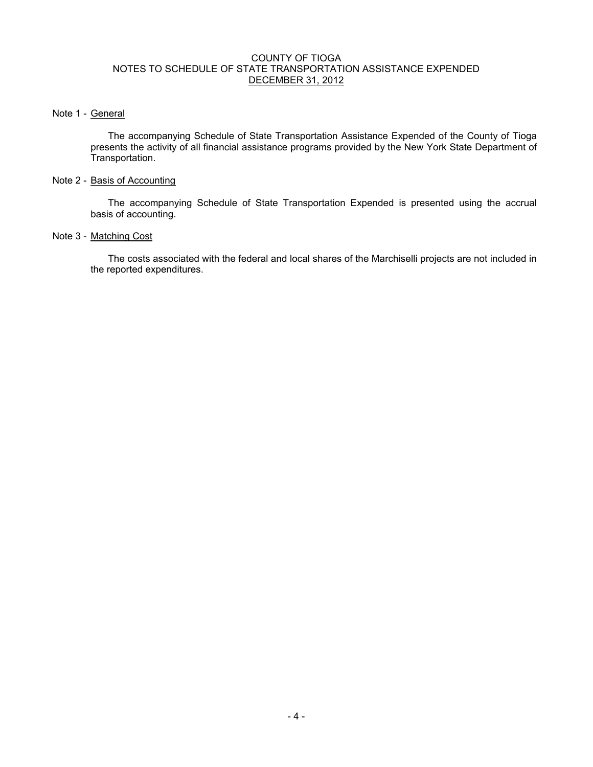# COUNTY OF TIOGA NOTES TO SCHEDULE OF STATE TRANSPORTATION ASSISTANCE EXPENDED DECEMBER 31, 2012

# Note 1 - General

The accompanying Schedule of State Transportation Assistance Expended of the County of Tioga presents the activity of all financial assistance programs provided by the New York State Department of Transportation.

# Note 2 - Basis of Accounting

The accompanying Schedule of State Transportation Expended is presented using the accrual basis of accounting.

# Note 3 - Matching Cost

The costs associated with the federal and local shares of the Marchiselli projects are not included in the reported expenditures.